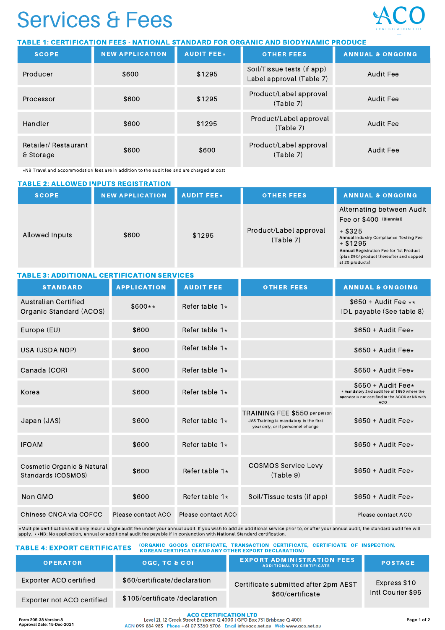## Services & Fees

### TABLE 1: CERTIFICATION FEES - NATIONAL STANDARD FOR ORGANIC AND BIODYNAMIC PRODUCE

| <b>SCOPE</b>                     | <b>NEW APPLICATION</b> | <b>AUDIT FEE*</b><br><b>OTHER FEES</b> |                                                        | <b>ANNUAL &amp; ONGOING</b> |
|----------------------------------|------------------------|----------------------------------------|--------------------------------------------------------|-----------------------------|
| Producer                         | \$600                  | \$1295                                 | Soil/Tissue tests (if app)<br>Label approval (Table 7) | Audit Fee                   |
| Processor                        | \$600                  | \$1295                                 | Product/Label approval<br>(Table 7)                    | Audit Fee                   |
| Handler                          | \$600                  | \$1295                                 | Product/Label approval<br>(Table 7)                    | Audit Fee                   |
| Retailer/Restaurant<br>& Storage | \$600                  | \$600                                  | Product/Label approval<br>(Table 7)                    | Audit Fee                   |

\*NB Travel and accommodation fees are in addition to the audit fee and are charged at cost

| <b>TABLE 2: ALLOWED INPUTS REGISTRATION</b> |                        |                    |                                     |                                                                                                                                                                                                                                      |  |  |
|---------------------------------------------|------------------------|--------------------|-------------------------------------|--------------------------------------------------------------------------------------------------------------------------------------------------------------------------------------------------------------------------------------|--|--|
| <b>SCOPE</b>                                | <b>NEW APPLICATION</b> | <b>AUDIT FEE</b> * | <b>OTHER FEES</b>                   | <b>ANNUAL &amp; ONGOING</b>                                                                                                                                                                                                          |  |  |
| Allowed Inputs                              | \$600                  | \$1295             | Product/Label approval<br>(Table 7) | Alternating between Audit<br>Fee or \$400 (Biennial)<br>$+$ \$325<br>Annual Industry Compliance Testing Fee<br>$+$ \$1295<br>Annual Registration Fee for 1st Product<br>(plus \$90/ product thereafter and capped<br>at 20 products) |  |  |

| <b>TABLE 3: ADDITIONAL CERTIFICATION SERVICES</b> |                    |                    |                                                                                                              |                                                                                                                                          |  |  |
|---------------------------------------------------|--------------------|--------------------|--------------------------------------------------------------------------------------------------------------|------------------------------------------------------------------------------------------------------------------------------------------|--|--|
| <b>STANDARD</b>                                   | <b>APPLICATION</b> | <b>AUDIT FEE</b>   | <b>OTHER FEES</b>                                                                                            | <b>ANNUAL &amp; ONGOING</b>                                                                                                              |  |  |
| Australian Certified<br>Organic Standard (ACOS)   | $$600**$           | Refer table $1*$   |                                                                                                              | $$650 +$ Audit Fee $**$<br>IDL payable (See table 8)                                                                                     |  |  |
| Europe (EU)                                       | \$600              | Refer table $1*$   |                                                                                                              | $$650 +$ Audit Fee $\star$                                                                                                               |  |  |
| USA (USDA NOP)                                    | \$600              | Refer table $1*$   |                                                                                                              | $$650 +$ Audit Fee $\star$                                                                                                               |  |  |
| Canada (COR)                                      | \$600              | Refer table $1*$   |                                                                                                              | $$650 +$ Audit Fee $\star$                                                                                                               |  |  |
| Korea                                             | \$600              | Refer table $1*$   |                                                                                                              | $$650 +$ Audit Fee $*$<br>+ mandatory 2nd audit fee of \$650 where the<br>operator is not certified to the ACOS or NS with<br><b>ACO</b> |  |  |
| Japan (JAS)                                       | \$600              | Refer table $1*$   | TRAINING FEE \$550 per person<br>JAS Training is mandatory in the first<br>year only, or if personnel change | $$650 +$ Audit Fee $\star$                                                                                                               |  |  |
| <b>IFOAM</b>                                      | \$600              | Refer table $1*$   |                                                                                                              | $$650 +$ Audit Fee $\star$                                                                                                               |  |  |
| Cosmetic Organic & Natural<br>Standards (COSMOS)  | \$600              | Refer table $1*$   | <b>COSMOS Service Levy</b><br>(Table 9)                                                                      | $$650 +$ Audit Fee $\star$                                                                                                               |  |  |
| Non GMO                                           | \$600              | Refer table $1*$   | Soil/Tissue tests (if app)                                                                                   | $$650 +$ Audit Fee $\star$                                                                                                               |  |  |
| Chinese CNCA via COFCC                            | Please contact ACO | Please contact ACO |                                                                                                              | Please contact ACO                                                                                                                       |  |  |

∗Multiple certifications will only incur a single audit fee under your annual audit. If you wish to add an additional service prior to, or after your annual audit, the standard audit fee will<br>apply, ∗∗NB: No application,

| <b>TABLE 4: EXPORT CERTIFICATES</b> |                 |                                                                                                                                                                                                                                                                                               | (ORGANIC GOODS CERTIFICATE, TRANSACTION CERTIFICATE, CERTIFICATE OF INSPECTION,<br><b>KOREAN CERTIFICATE AND ANY OTHER EXPORT DECLARATION)</b> |                |  |  |
|-------------------------------------|-----------------|-----------------------------------------------------------------------------------------------------------------------------------------------------------------------------------------------------------------------------------------------------------------------------------------------|------------------------------------------------------------------------------------------------------------------------------------------------|----------------|--|--|
|                                     | <b>OPERATOR</b> | <b>OGC. TC &amp; COL</b>                                                                                                                                                                                                                                                                      | <b>EXPORT ADMINISTRATION FEES</b><br><b>ADDITIONAL TO CERTIFICATE</b>                                                                          | <b>POSTAGE</b> |  |  |
|                                     |                 | $\frac{1}{2}$ and $\frac{1}{2}$ and $\frac{1}{2}$ and $\frac{1}{2}$ and $\frac{1}{2}$ and $\frac{1}{2}$ and $\frac{1}{2}$ and $\frac{1}{2}$ and $\frac{1}{2}$ and $\frac{1}{2}$ and $\frac{1}{2}$ and $\frac{1}{2}$ and $\frac{1}{2}$ and $\frac{1}{2}$ and $\frac{1}{2}$ and $\frac{1}{2}$ a |                                                                                                                                                |                |  |  |

|                            |                               | ADDITIONAL TO CERTIFICATE            |                   |
|----------------------------|-------------------------------|--------------------------------------|-------------------|
| Exporter ACO certified     | \$60/certificate/declaration  | Certificate submitted after 2pm AEST | Express \$10      |
| Exporter not ACO certified | \$105/certificate/declaration | \$60/certificate                     | Intl Courier \$95 |

ACN 099 884 983 Phone +61 07 3350 5706 Email infoeaco.net.au Web www.aco.net.au